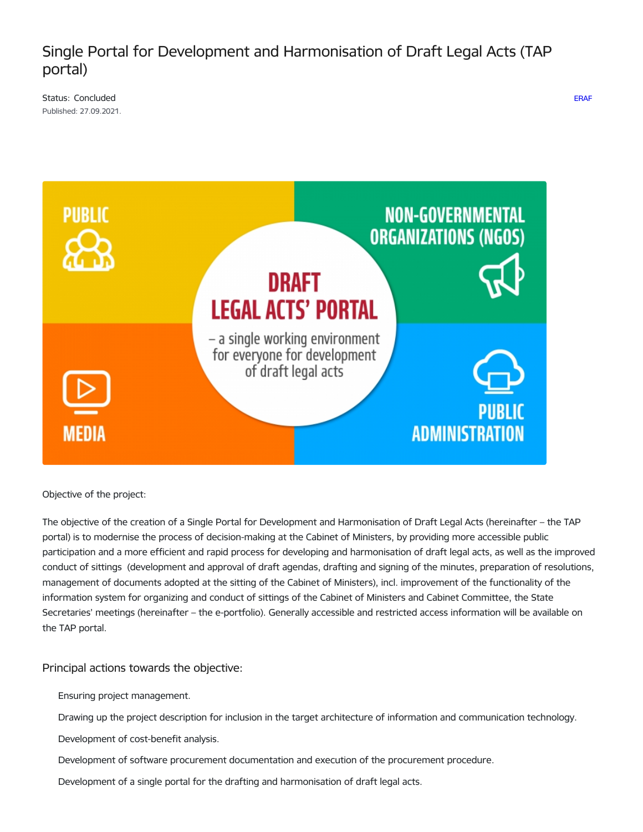# Single Portal for Development and Harmonisation of Draft Legal Acts (TAP portal)

[ERAF](https://www.mk.gov.lv/en/projects?project_categories%255B172%255D=172)

Status: Concluded Published: 27.09.2021.



Objective of the project:

The objective of the creation of a Single Portal for Development and Harmonisation of Draft Legal Acts (hereinafter – the TAP portal) is to modernise the process of decision-making at the Cabinet of Ministers, by providing more accessible public participation and a more efficient and rapid process for developing and harmonisation of draft legal acts, as well as the improved conduct of sittings (development and approval of draft agendas, drafting and signing of the minutes, preparation of resolutions, management of documents adopted at the sitting of the Cabinet of Ministers), incl. improvement of the functionality of the information system for organizing and conduct of sittings of the Cabinet of Ministers and Cabinet Committee, the State Secretaries' meetings (hereinafter – the e-portfolio). Generally accessible and restricted access information will be available on the TAP portal.

# Principal actions towards the objective:

Ensuring project management.

- Drawing up the project description for inclusion in the target architecture of information and communication technology.
- Development of cost-benefit analysis.
- Development of software procurement documentation and execution of the procurement procedure.
- Development of a single portal for the drafting and harmonisation of draft legal acts.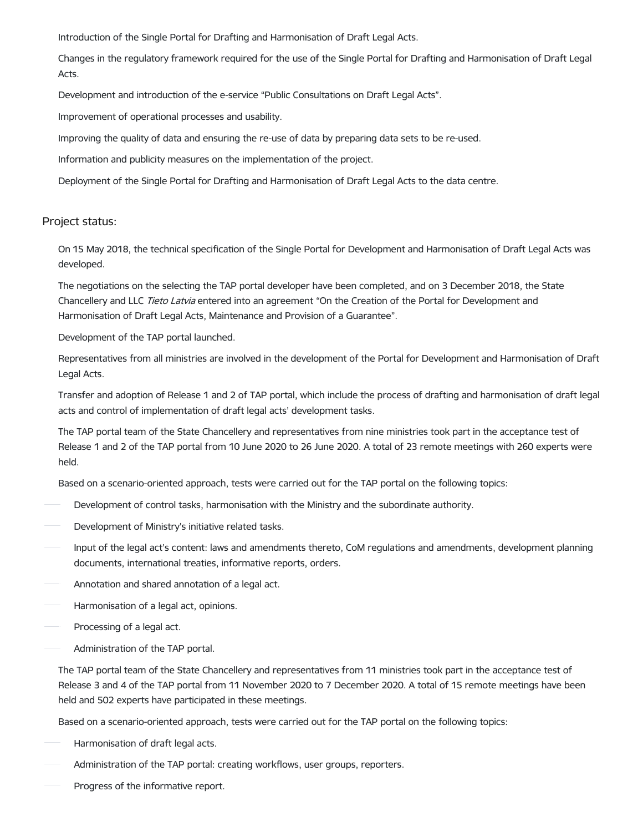Introduction of the Single Portal for Drafting and Harmonisation of Draft Legal Acts.

Changes in the regulatory framework required for the use of the Single Portal for Drafting and Harmonisation of Draft Legal Acts.

Development and introduction of the e-service "Public Consultations on Draft Legal Acts".

Improvement of operational processes and usability.

Improving the quality of data and ensuring the re-use of data by preparing data sets to be re-used.

Information and publicity measures on the implementation of the project.

Deployment of the Single Portal for Drafting and Harmonisation of Draft Legal Acts to the data centre.

### Project status:

On 15 May 2018, the technical specification of the Single Portal for Development and Harmonisation of Draft Legal Acts was developed.

The negotiations on the selecting the TAP portal developer have been completed, and on 3 December 2018, the State Chancellery and LLC Tieto Latvia entered into an agreement "On the Creation of the Portal for Development and Harmonisation of Draft Legal Acts, Maintenance and Provision of a Guarantee".

Development of the TAP portal launched.

Representatives from all ministries are involved in the development of the Portal for Development and Harmonisation of Draft Legal Acts.

Transfer and adoption of Release 1 and 2 of TAP portal, which include the process of drafting and harmonisation of draft legal acts and control of implementation of draft legal acts' development tasks.

The TAP portal team of the State Chancellery and representatives from nine ministries took part in the acceptance test of Release 1 and 2 of the TAP portal from 10 June 2020 to 26 June 2020. A total of 23 remote meetings with 260 experts were held.

Based on a scenario-oriented approach, tests were carried out for the TAP portal on the following topics:

- Development of control tasks, harmonisation with the Ministry and the subordinate authority.
- Development of Ministry's initiative related tasks.
- Input of the legal act's content: laws and amendments thereto, CoM regulations and amendments, development planning documents, international treaties, informative reports, orders.
- Annotation and shared annotation of a legal act.
- Harmonisation of a legal act, opinions.
- Processing of a legal act.
- Administration of the TAP portal.

The TAP portal team of the State Chancellery and representatives from 11 ministries took part in the acceptance test of Release 3 and 4 of the TAP portal from 11 November 2020 to 7 December 2020. A total of 15 remote meetings have been held and 502 experts have participated in these meetings.

Based on a scenario-oriented approach, tests were carried out for the TAP portal on the following topics:

- Harmonisation of draft legal acts.
- Administration of the TAP portal: creating workflows, user groups, reporters.
- Progress of the informative report.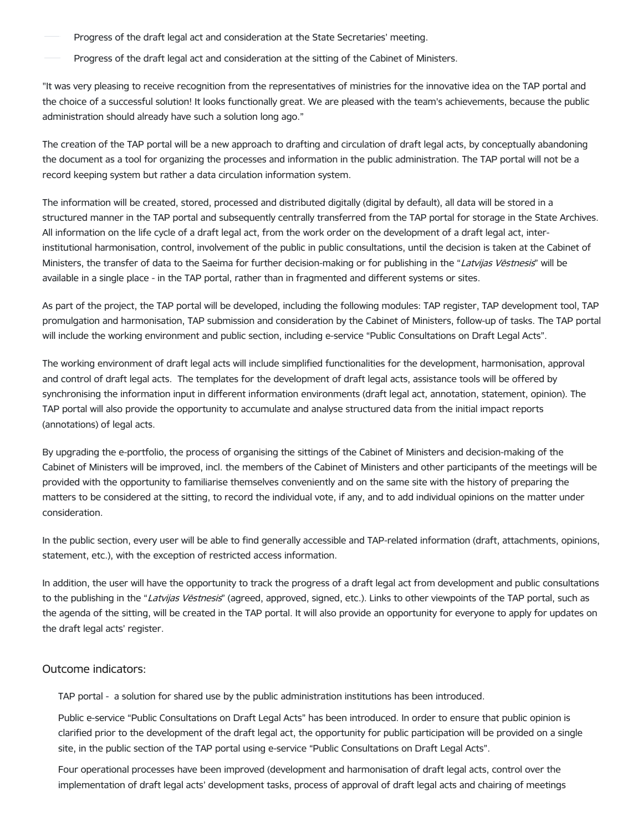- Progress of the draft legal act and consideration at the State Secretaries' meeting.
- Progress of the draft legal act and consideration at the sitting of the Cabinet of Ministers.

"It was very pleasing to receive recognition from the representatives of ministries for the innovative idea on the TAP portal and the choice of a successful solution! It looks functionally great. We are pleased with the team's achievements, because the public administration should already have such a solution long ago."

The creation of the TAP portal will be a new approach to drafting and circulation of draft legal acts, by conceptually abandoning the document as a tool for organizing the processes and information in the public administration. The TAP portal will not be a record keeping system but rather a data circulation information system.

The information will be created, stored, processed and distributed digitally (digital by default), all data will be stored in a structured manner in the TAP portal and subsequently centrally transferred from the TAP portal for storage in the State Archives. All information on the life cycle of a draft legal act, from the work order on the development of a draft legal act, interinstitutional harmonisation, control, involvement of the public in public consultations, until the decision is taken at the Cabinet of Ministers, the transfer of data to the Saeima for further decision-making or for publishing in the "Latvijas Vēstnesis" will be available in a single place - in the TAP portal, rather than in fragmented and different systems or sites.

As part of the project, the TAP portal will be developed, including the following modules: TAP register, TAP development tool, TAP promulgation and harmonisation, TAP submission and consideration by the Cabinet of Ministers, follow-up of tasks. The TAP portal will include the working environment and public section, including e-service "Public Consultations on Draft Legal Acts".

The working environment of draft legal acts will include simplified functionalities for the development, harmonisation, approval and control of draft legal acts. The templates for the development of draft legal acts, assistance tools will be offered by synchronising the information input in different information environments (draft legal act, annotation, statement, opinion). The TAP portal will also provide the opportunity to accumulate and analyse structured data from the initial impact reports (annotations) of legal acts.

By upgrading the e-portfolio, the process of organising the sittings of the Cabinet of Ministers and decision-making of the Cabinet of Ministers will be improved, incl. the members of the Cabinet of Ministers and other participants of the meetings will be provided with the opportunity to familiarise themselves conveniently and on the same site with the history of preparing the matters to be considered at the sitting, to record the individual vote, if any, and to add individual opinions on the matter under consideration.

In the public section, every user will be able to find generally accessible and TAP-related information (draft, attachments, opinions, statement, etc.), with the exception of restricted access information.

In addition, the user will have the opportunity to track the progress of a draft legal act from development and public consultations to the publishing in the "Latvijas Vēstnesis" (agreed, approved, signed, etc.). Links to other viewpoints of the TAP portal, such as the agenda of the sitting, will be created in the TAP portal. It will also provide an opportunity for everyone to apply for updates on the draft legal acts' register.

### Outcome indicators:

TAP portal - a solution for shared use by the public administration institutions has been introduced.

Public e-service "Public Consultations on Draft Legal Acts" has been introduced. In order to ensure that public opinion is clarified prior to the development of the draft legal act, the opportunity for public participation will be provided on a single site, in the public section of the TAP portal using e-service "Public Consultations on Draft Legal Acts".

Four operational processes have been improved (development and harmonisation of draft legal acts, control over the implementation of draft legal acts' development tasks, process of approval of draft legal acts and chairing of meetings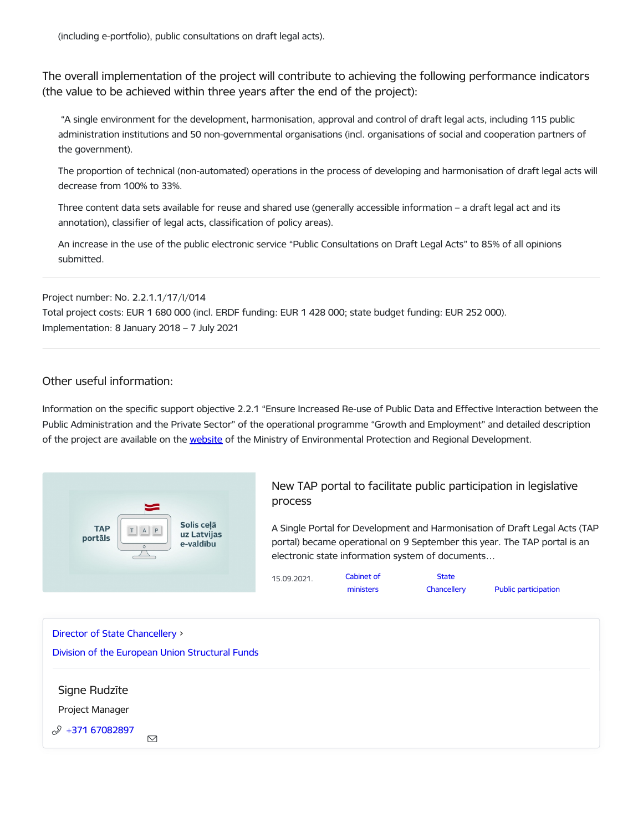(including e-portfolio), public consultations on draft legal acts).

The overall implementation of the project will contribute to achieving the following performance indicators (the value to be achieved within three years after the end of the project):

"A single environment for the development, harmonisation, approval and control of draft legal acts, including 115 public administration institutions and 50 non-governmental organisations (incl. organisations of social and cooperation partners of the government).

The proportion of technical (non-automated) operations in the process of developing and harmonisation of draft legal acts will decrease from 100% to 33%.

Three content data sets available for reuse and shared use (generally accessible information – a draft legal act and its annotation), classifier of legal acts, classification of policy areas).

An increase in the use of the public electronic service "Public Consultations on Draft Legal Acts" to 85% of all opinions submitted.

Project number: No. 2.2.1.1/17/I/014 Total project costs: EUR 1 680 000 (incl. ERDF funding: EUR 1 428 000; state budget funding: EUR 252 000). Implementation: 8 January 2018 – 7 July 2021

## Other useful information:

Information on the specific support objective 2.2.1 "Ensure Increased Re-use of Public Data and Effective Interaction between the Public Administration and the Private Sector" of the operational programme "Growth and Employment" and detailed description of the project are available on the [website](https://www.varam.gov.lv/lv/221-nodrosinat-publisko-datu-atkalizmantosanas-pieaugumu-un-efektivu-publiskas-parvaldes-un-privata-sektora-mijiedarbibu) of the Ministry of Environmental Protection and Regional Development.



New TAP portal to facilitate public [participation](https://www.mk.gov.lv/en/article/new-tap-portal-facilitate-public-participation-legislative-process) in legislative process

A Single Portal for Development and Harmonisation of Draft Legal Acts (TAP portal) became operational on 9 September this year. The TAP portal is an electronic state information system of documents…

| 15.09.2021. | Cabinet of | <b>State</b> |                      |
|-------------|------------|--------------|----------------------|
|             | ministers  | Chancellery  | Public participation |